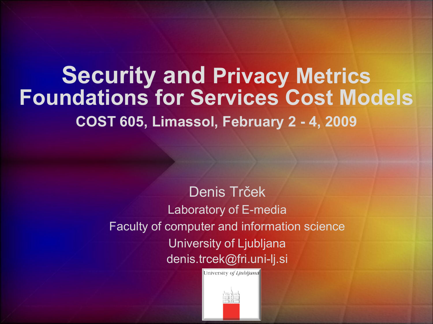#### **Security and Privacy Metrics Foundations for Services Cost Models COST 605, Limassol, February 2 - 4, 2009**

Denis Trček Laboratory of E-media Faculty of computer and information science University of Ljubljana denis.trcek@fri.uni-lj.si

University of Ljubljand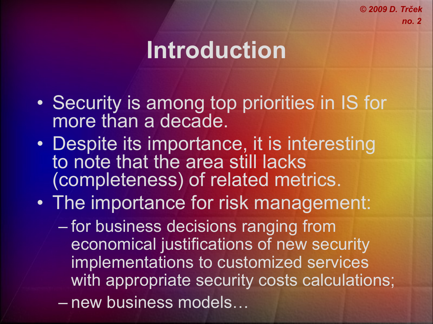# **Introduction**

- Security is among top priorities in IS for more than a decade.
- Despite its importance, it is interesting to note that the area still lacks (completeness) of related metrics.
- The importance for risk management:
	- for business decisions ranging from economical justifications of new security implementations to customized services with appropriate security costs calculations; – new business models…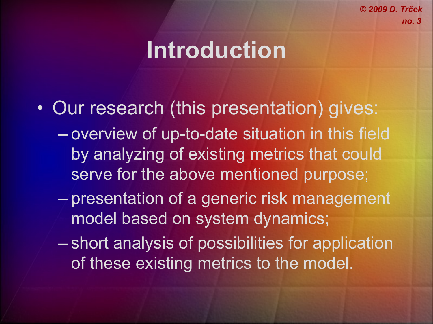## **Introduction**

- Our research (this presentation) gives:
	- overview of up-to-date situation in this field by analyzing of existing metrics that could serve for the above mentioned purpose;
	- presentation of a generic risk management model based on system dynamics;
	- short analysis of possibilities for application of these existing metrics to the model.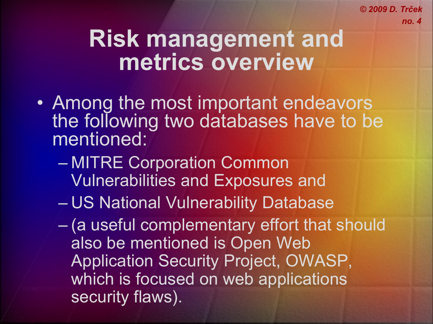- Among the most important endeavors the following two databases have to be mentioned:
	- MITRE Corporation Common Vulnerabilities and Exposures and
	- US National Vulnerability Database
	- (a useful complementary effort that should also be mentioned is Open Web Application Security Project, OWASP, which is focused on web applications security flaws).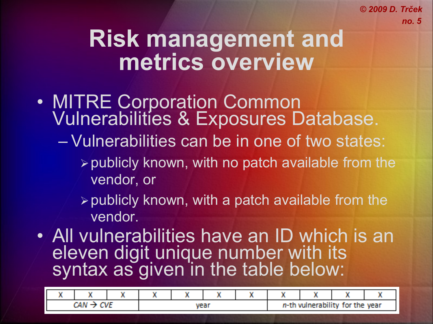- MITRE Corporation Common Vulnerabilities & Exposures Database.
	- Vulnerabilities can be in one of two states:
		- $\triangleright$  publicly known, with no patch available from the vendor, or
		- $\triangleright$  publicly known, with a patch available from the vendor.
- All vulnerabilities have an ID which is an eleven digit unique number with its syntax as given in the table below:

|  | . | 7. JUNI |  |  |  | and the company of the company<br><b>MA-Th</b><br>for the year<br>w<br><b>SALES AND RESIDENCE</b> |  |  |  |
|--|---|---------|--|--|--|---------------------------------------------------------------------------------------------------|--|--|--|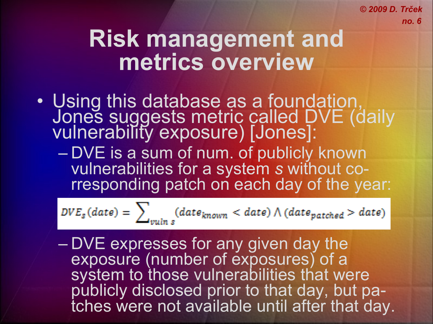#### **Risk management and metrics overview**

• Using this database as a foundation, Jones suggests metric called DVE (daily vulnerability exposure) [Jones]:

– DVE is a sum of num. of publicly known vulnerabilities for a system *s* without corresponding patch on each day of the year:

$$
DVE_s(data) = \sum_{vulin\ s} (date_{known} < date) \land (date_{patched} > date)
$$

– DVE expresses for any given day the exposure (number of exposures) of a system to those vulnerabilities that were publicly disclosed prior to that day, but patches were not available until after that day.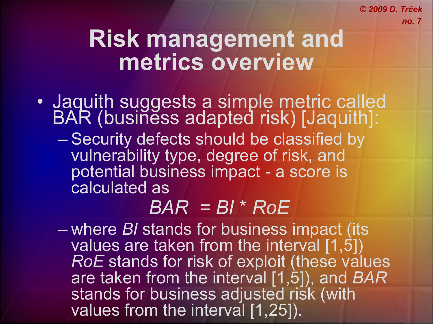#### **Risk management and metrics overview**

- Jaquith suggests a simple metric called BAR (business adapted risk) [Jaquith]:
	- Security defects should be classified by vulnerability type, degree of risk, and potential business impact - a score is calculated as

#### *BAR = BI* \* *RoE*

– where *BI* stands for business impact (its values are taken from the interval [1,5]) *RoE* stands for risk of exploit (these values are taken from the interval [1,5]), and *BAR* stands for business adjusted risk (with values from the interval [1,25]).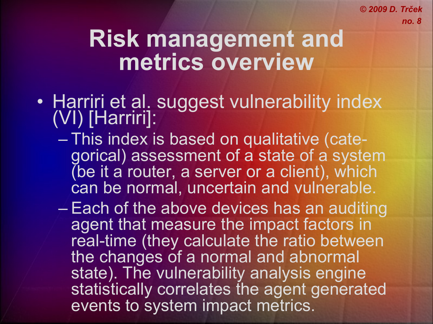- Harriri et al. suggest vulnerability index (VI) [Harriri]:
	- This index is based on qualitative (categorical) assessment of a state of a system (be it a router, a server or a client), which can be normal, uncertain and vulnerable.
	- Each of the above devices has an auditing agent that measure the impact factors in real-time (they calculate the ratio between the changes of a normal and abnormal state). The vulnerability analysis engine statistically correlates the agent generated events to system impact metrics.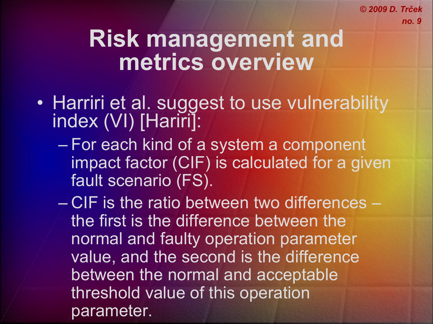- Harriri et al. suggest to use vulnerability index (VI) [Hariri]:
	- For each kind of a system a component impact factor (CIF) is calculated for a given fault scenario (FS).
	- CIF is the ratio between two differences the first is the difference between the normal and faulty operation parameter value, and the second is the difference between the normal and acceptable threshold value of this operation parameter.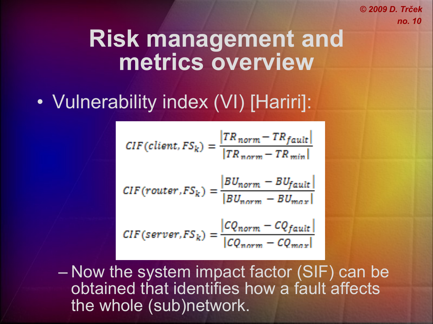#### **Risk management and metrics overview**

#### • Vulnerability index (VI) [Hariri]:

$$
CIF(client, FSk) = \frac{|TRnorm - TRfault}|}{|TRnorm - TRmin|}
$$
  

$$
CIF(router, FSk) = \frac{|BU_{norm} - BU_{fault}|}{|BU_{norm} - BU_{max}|}
$$
  

$$
CIF(server, FSk) = \frac{|CQnorm - CQfault}|}{|CQnorm - CQmax|}
$$

– Now the system impact factor (SIF) can be obtained that identifies how a fault affects the whole (sub)network.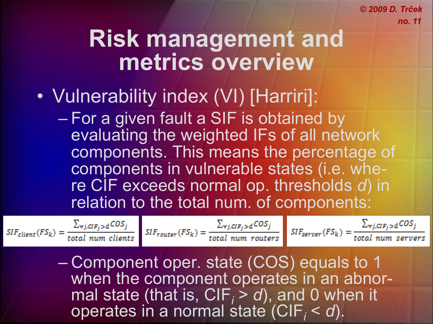#### **Risk management and metrics overview**

- Vulnerability index (VI) [Harriri]:
	- For a given fault a SIF is obtained by evaluating the weighted IFs of all network components. This means the percentage of components in vulnerable states (i.e. where CIF exceeds normal op. thresholds *d*) in relation to the total num. of components:

– Component oper. state (COS) equals to 1 when the component operates in an abnormal state (that is,  $CIF_i > d$ ), and 0 when it operates in a normal state (CIF*<sup>i</sup>* < *d*).

 $SIF_{client}(FS_{k}) = \frac{\sum_{\forall j, CIF_{j} > d} COS_{j}}{total num clients}$   $SIF_{counter}(FS_{k}) = \frac{\sum_{\forall j, CIF_{j} > d} COS_{j}}{total num routers}$   $SIF_{server}(FS_{k}) = \frac{\sum_{\forall j, CIF_{j} > d} COS_{j}}{total num servers}$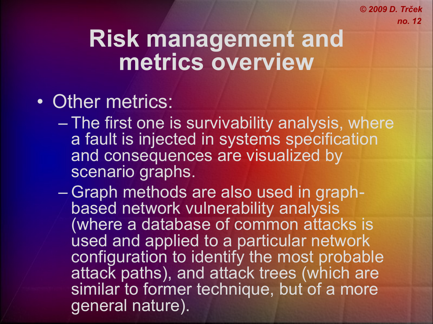## **Risk management and metrics overview**

#### • Other metrics:

- The first one is survivability analysis, where a fault is injected in systems specification and consequences are visualized by scenario graphs.
- Graph methods are also used in graphbased network vulnerability analysis (where a database of common attacks is used and applied to a particular network configuration to identify the most probable attack paths), and attack trees (which are similar to former technique, but of a more general nature).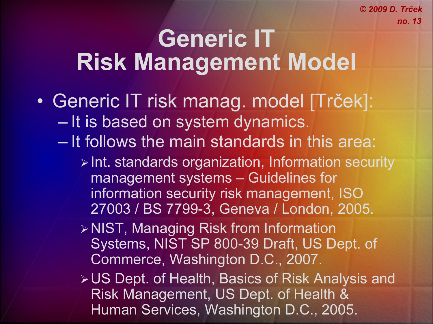## **Generic IT Risk Management Model**

- Generic IT risk manag. model [Trček]: – It is based on system dynamics.
	- It follows the main standards in this area:
		- $\triangleright$  Int. standards organization, Information security management systems – Guidelines for information security risk management, ISO 27003 / BS 7799-3, Geneva / London, 2005.
		- NIST, Managing Risk from Information Systems, NIST SP 800-39 Draft, US Dept. of Commerce, Washington D.C., 2007.
		- US Dept. of Health, Basics of Risk Analysis and Risk Management, US Dept. of Health & Human Services, Washington D.C., 2005.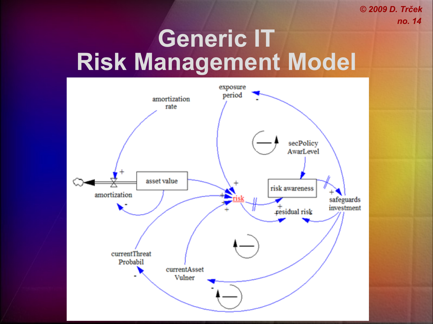# **Generic IT Risk Management Model**

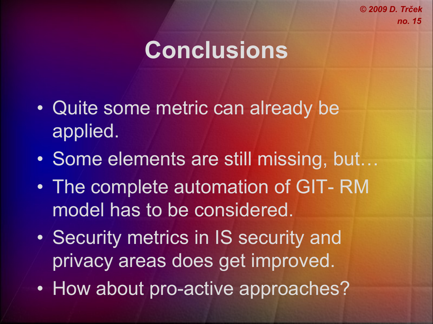# **Conclusions**

- Quite some metric can already be applied.
- Some elements are still missing, but…
- The complete automation of GIT- RM model has to be considered.
- Security metrics in IS security and privacy areas does get improved.
- How about pro-active approaches?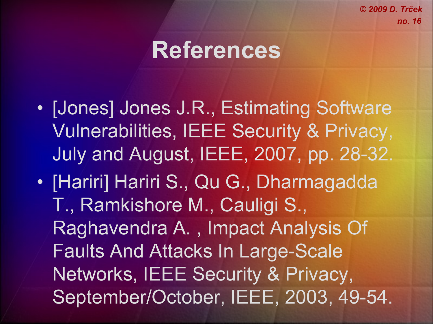## **References**

- [Jones] Jones J.R., Estimating Software Vulnerabilities, IEEE Security & Privacy, July and August, IEEE, 2007, pp. 28-32.
- [Hariri] Hariri S., Qu G., Dharmagadda T., Ramkishore M., Cauligi S., Raghavendra A. , Impact Analysis Of Faults And Attacks In Large-Scale Networks, IEEE Security & Privacy, September/October, IEEE, 2003, 49-54.